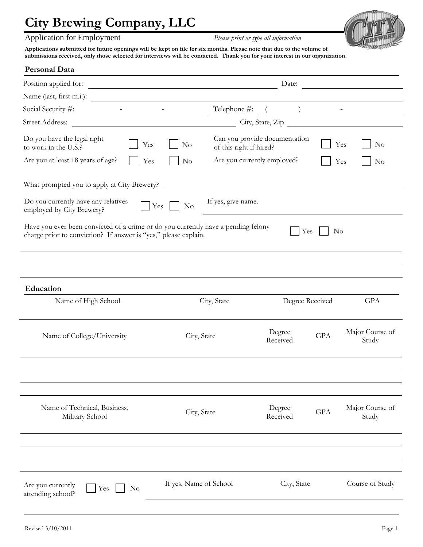### Application for Employment *Please print or type all information*



**Applications submitted for future openings will be kept on file for six months. Please note that due to the volume of submissions received, only those selected for interviews will be contacted. Thank you for your interest in our organization.** 

| <b>Personal Data</b>                                                                                                                                 |                                                                                                                                |                               |            |                          |
|------------------------------------------------------------------------------------------------------------------------------------------------------|--------------------------------------------------------------------------------------------------------------------------------|-------------------------------|------------|--------------------------|
| Position applied for:                                                                                                                                | Date:<br><u> 1989 - Johann Barn, mars ann an t-Amhain Aonaich an t-Aonaich an t-Aonaich an t-Aonaich an t-Aonaich an t-Aon</u> |                               |            |                          |
|                                                                                                                                                      |                                                                                                                                |                               |            |                          |
| Social Security #:                                                                                                                                   |                                                                                                                                | Telephone #: $($ $)$ $-$      |            |                          |
| Street Address: City, State, Zip                                                                                                                     |                                                                                                                                |                               |            |                          |
| Do you have the legal right<br>Yes<br>to work in the U.S.?                                                                                           | N <sub>o</sub><br>of this right if hired?                                                                                      | Can you provide documentation | Yes        | $\rm No$                 |
| Are you at least 18 years of age?<br>Yes                                                                                                             | No                                                                                                                             | Are you currently employed?   | Yes        | $\rm No$                 |
| What prompted you to apply at City Brewery?                                                                                                          |                                                                                                                                |                               |            |                          |
| Do you currently have any relatives<br>Yes<br>employed by City Brewery?                                                                              | If yes, give name.<br>N <sub>o</sub>                                                                                           |                               |            |                          |
| Have you ever been convicted of a crime or do you currently have a pending felony<br>charge prior to conviction? If answer is "yes," please explain. |                                                                                                                                | Yes                           | No         |                          |
|                                                                                                                                                      |                                                                                                                                |                               |            |                          |
| Education                                                                                                                                            |                                                                                                                                |                               |            |                          |
| Name of High School                                                                                                                                  | City, State                                                                                                                    | Degree Received               |            | <b>GPA</b>               |
| Name of College/University                                                                                                                           | City, State                                                                                                                    | Degree<br>Received            | <b>GPA</b> | Major Course of<br>Study |
|                                                                                                                                                      |                                                                                                                                |                               |            |                          |
|                                                                                                                                                      |                                                                                                                                |                               |            |                          |
| Name of Technical, Business,<br>Military School                                                                                                      | City, State                                                                                                                    | Degree<br>Received            | <b>GPA</b> | Major Course of<br>Study |
|                                                                                                                                                      |                                                                                                                                |                               |            |                          |
|                                                                                                                                                      |                                                                                                                                |                               |            |                          |
|                                                                                                                                                      |                                                                                                                                |                               |            |                          |
| Are you currently<br>N <sub>o</sub><br>Yes<br>attending school?                                                                                      | If yes, Name of School                                                                                                         | City, State                   |            | Course of Study          |
|                                                                                                                                                      |                                                                                                                                |                               |            |                          |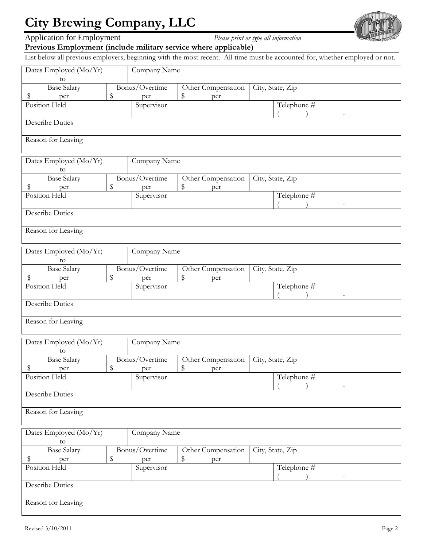

Application for Employment *Please print or type all information*



**Previous Employment (include military service where applicable)** 

List below all previous employers, beginning with the most recent. All time must be accounted for, whether employed or not.

| Dates Employed (Mo/Yr)               | Company Name |                          |                    |                          |  |
|--------------------------------------|--------------|--------------------------|--------------------|--------------------------|--|
| to<br><b>Base Salary</b>             |              | Bonus/Overtime           | Other Compensation | City, State, Zip         |  |
| \$<br>per                            | \$           | per                      | \$<br>per          |                          |  |
| Position Held                        |              | Supervisor               |                    | Telephone #              |  |
| <b>Describe Duties</b>               |              |                          |                    | $\overline{a}$           |  |
|                                      |              |                          |                    |                          |  |
| Reason for Leaving                   |              |                          |                    |                          |  |
| Dates Employed (Mo/Yr)<br>to         |              | Company Name             |                    |                          |  |
| <b>Base Salary</b>                   |              | Bonus/Overtime           | Other Compensation | City, State, Zip         |  |
| Ş<br>per                             | \$           | per                      | \$<br>per          |                          |  |
| Position Held                        |              | Supervisor               |                    | Telephone #              |  |
|                                      |              |                          |                    | $\overline{\phantom{a}}$ |  |
| <b>Describe Duties</b>               |              |                          |                    |                          |  |
| Reason for Leaving                   |              |                          |                    |                          |  |
|                                      |              | Company Name             |                    |                          |  |
| Dates Employed (Mo/Yr)<br>to         |              |                          |                    |                          |  |
| <b>Base Salary</b>                   |              | Bonus/Overtime           | Other Compensation | City, State, Zip         |  |
| \$<br>per                            | \$           | per                      | \$<br>per          |                          |  |
| Position Held                        |              | Supervisor               |                    | Telephone #              |  |
| <b>Describe Duties</b>               |              |                          |                    |                          |  |
| Reason for Leaving                   |              |                          |                    |                          |  |
|                                      |              |                          |                    |                          |  |
| Dates Employed (Mo/Yr)<br>to         |              | Company Name             |                    |                          |  |
| <b>Base Salary</b><br>Bonus/Overtime |              |                          | Other Compensation | City, State, Zip         |  |
| \$<br>per                            | \$           | per                      | \$<br>per          |                          |  |
| Position Held                        |              | Supervisor               |                    | Telephone #              |  |
| <b>Describe Duties</b>               |              |                          |                    |                          |  |
| Reason for Leaving                   |              |                          |                    |                          |  |
|                                      |              |                          |                    |                          |  |
| Dates Employed (Mo/Yr)               |              | Company Name             |                    |                          |  |
| to                                   |              | Bonus/Overtime           |                    |                          |  |
| <b>Base Salary</b><br>\$             |              | Other Compensation<br>\$ |                    | City, State, Zip         |  |
| \$<br>per<br>Position Held           |              | per<br>Supervisor        | per                | Telephone #              |  |
|                                      |              |                          |                    |                          |  |
| <b>Describe Duties</b>               |              |                          |                    |                          |  |
| Reason for Leaving                   |              |                          |                    |                          |  |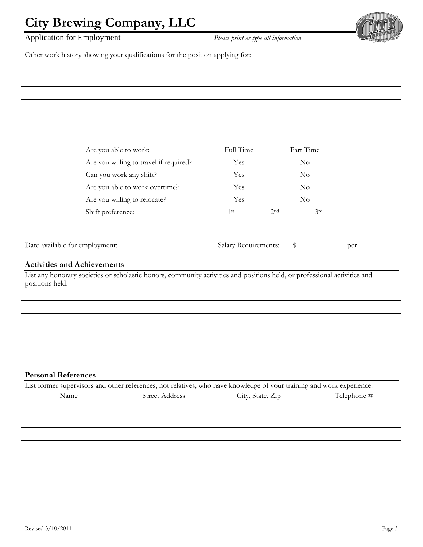### Application for Employment *Please print or type all information*



Other work history showing your qualifications for the position applying for:

| Are you able to work:                  | Full Time  | Part Time  |
|----------------------------------------|------------|------------|
| Are you willing to travel if required? | Yes        | $\rm No$   |
| Can you work any shift?                | Yes        | $\rm No$   |
| Are you able to work overtime?         | <b>Yes</b> | $\rm No$   |
| Are you willing to relocate?           | Yes        | $\rm No$   |
| Shift preference:                      | 1st        | 3rd<br>2nd |
|                                        |            |            |

| Date available for employment: |  | Salary Requirements: |  | per |
|--------------------------------|--|----------------------|--|-----|
|--------------------------------|--|----------------------|--|-----|

### **Activities and Achievements**

List any honorary societies or scholastic honors, community activities and positions held, or professional activities and positions held.

#### **Personal References**

|      | List former supervisors and other references, not relatives, who have knowledge of your training and work experience. |                  |             |  |
|------|-----------------------------------------------------------------------------------------------------------------------|------------------|-------------|--|
| Name | <b>Street Address</b>                                                                                                 | City, State, Zip | Telephone # |  |
|      |                                                                                                                       |                  |             |  |
|      |                                                                                                                       |                  |             |  |
|      |                                                                                                                       |                  |             |  |
|      |                                                                                                                       |                  |             |  |
|      |                                                                                                                       |                  |             |  |